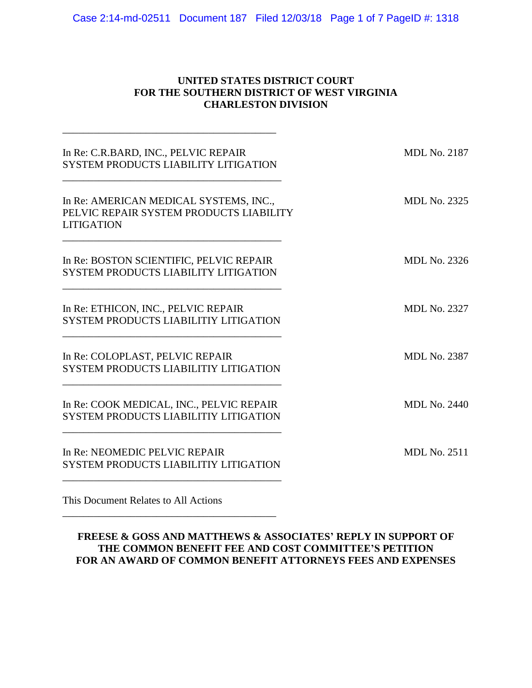Case 2:14-md-02511 Document 187 Filed 12/03/18 Page 1 of 7 PageID #: 1318

### **UNITED STATES DISTRICT COURT FOR THE SOUTHERN DISTRICT OF WEST VIRGINIA CHARLESTON DIVISION**

| In Re: C.R.BARD, INC., PELVIC REPAIR<br>SYSTEM PRODUCTS LIABILITY LITIGATION                           | <b>MDL No. 2187</b> |
|--------------------------------------------------------------------------------------------------------|---------------------|
| In Re: AMERICAN MEDICAL SYSTEMS, INC.,<br>PELVIC REPAIR SYSTEM PRODUCTS LIABILITY<br><b>LITIGATION</b> | <b>MDL No. 2325</b> |
| In Re: BOSTON SCIENTIFIC, PELVIC REPAIR<br><b>SYSTEM PRODUCTS LIABILITY LITIGATION</b>                 | <b>MDL No. 2326</b> |
| In Re: ETHICON, INC., PELVIC REPAIR<br><b>SYSTEM PRODUCTS LIABILITIY LITIGATION</b>                    | <b>MDL No. 2327</b> |
| In Re: COLOPLAST, PELVIC REPAIR<br><b>SYSTEM PRODUCTS LIABILITIY LITIGATION</b>                        | <b>MDL No. 2387</b> |
| In Re: COOK MEDICAL, INC., PELVIC REPAIR<br><b>SYSTEM PRODUCTS LIABILITIY LITIGATION</b>               | <b>MDL No. 2440</b> |
| In Re: NEOMEDIC PELVIC REPAIR<br><b>SYSTEM PRODUCTS LIABILITIY LITIGATION</b>                          | <b>MDL No. 2511</b> |
|                                                                                                        |                     |

This Document Relates to All Actions

\_\_\_\_\_\_\_\_\_\_\_\_\_\_\_\_\_\_\_\_\_\_\_\_\_\_\_\_\_\_\_\_\_\_\_\_\_\_\_\_\_

## **FREESE & GOSS AND MATTHEWS & ASSOCIATES' REPLY IN SUPPORT OF THE COMMON BENEFIT FEE AND COST COMMITTEE'S PETITION FOR AN AWARD OF COMMON BENEFIT ATTORNEYS FEES AND EXPENSES**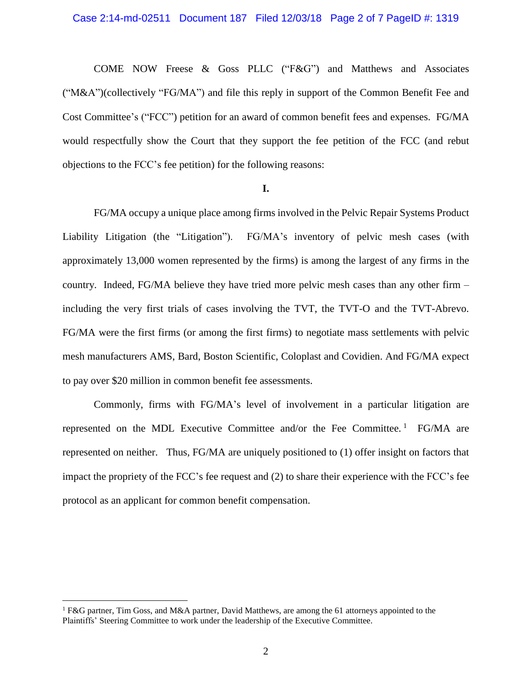COME NOW Freese & Goss PLLC ("F&G") and Matthews and Associates ("M&A")(collectively "FG/MA") and file this reply in support of the Common Benefit Fee and Cost Committee's ("FCC") petition for an award of common benefit fees and expenses. FG/MA would respectfully show the Court that they support the fee petition of the FCC (and rebut objections to the FCC's fee petition) for the following reasons:

#### **I.**

FG/MA occupy a unique place among firms involved in the Pelvic Repair Systems Product Liability Litigation (the "Litigation"). FG/MA's inventory of pelvic mesh cases (with approximately 13,000 women represented by the firms) is among the largest of any firms in the country. Indeed, FG/MA believe they have tried more pelvic mesh cases than any other firm – including the very first trials of cases involving the TVT, the TVT-O and the TVT-Abrevo. FG/MA were the first firms (or among the first firms) to negotiate mass settlements with pelvic mesh manufacturers AMS, Bard, Boston Scientific, Coloplast and Covidien. And FG/MA expect to pay over \$20 million in common benefit fee assessments.

Commonly, firms with FG/MA's level of involvement in a particular litigation are represented on the MDL Executive Committee and/or the Fee Committee.<sup>1</sup> FG/MA are represented on neither. Thus, FG/MA are uniquely positioned to (1) offer insight on factors that impact the propriety of the FCC's fee request and (2) to share their experience with the FCC's fee protocol as an applicant for common benefit compensation.

 $\overline{a}$ 

<sup>&</sup>lt;sup>1</sup> F&G partner, Tim Goss, and M&A partner, David Matthews, are among the 61 attorneys appointed to the Plaintiffs' Steering Committee to work under the leadership of the Executive Committee.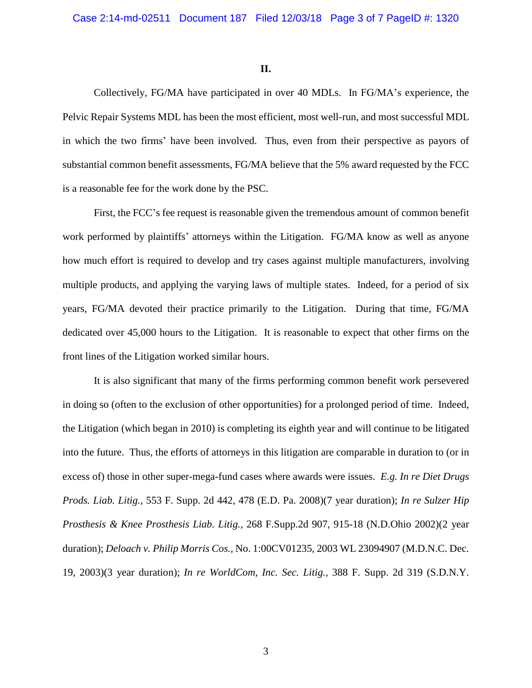**II.**

Collectively, FG/MA have participated in over 40 MDLs. In FG/MA's experience, the Pelvic Repair Systems MDL has been the most efficient, most well-run, and most successful MDL in which the two firms' have been involved. Thus, even from their perspective as payors of substantial common benefit assessments, FG/MA believe that the 5% award requested by the FCC is a reasonable fee for the work done by the PSC.

First, the FCC's fee request is reasonable given the tremendous amount of common benefit work performed by plaintiffs' attorneys within the Litigation. FG/MA know as well as anyone how much effort is required to develop and try cases against multiple manufacturers, involving multiple products, and applying the varying laws of multiple states. Indeed, for a period of six years, FG/MA devoted their practice primarily to the Litigation. During that time, FG/MA dedicated over 45,000 hours to the Litigation. It is reasonable to expect that other firms on the front lines of the Litigation worked similar hours.

It is also significant that many of the firms performing common benefit work persevered in doing so (often to the exclusion of other opportunities) for a prolonged period of time. Indeed, the Litigation (which began in 2010) is completing its eighth year and will continue to be litigated into the future. Thus, the efforts of attorneys in this litigation are comparable in duration to (or in excess of) those in other super-mega-fund cases where awards were issues. *E.g. In re Diet Drugs Prods. Liab. Litig.,* 553 F. Supp. 2d 442, 478 (E.D. Pa. 2008)(7 year duration); *In re Sulzer Hip Prosthesis & Knee Prosthesis Liab. Litig.,* 268 F.Supp.2d 907, 915-18 (N.D.Ohio 2002)(2 year duration); *Deloach v. Philip Morris Cos.,* No. 1:00CV01235, 2003 WL 23094907 (M.D.N.C. Dec. 19, 2003)(3 year duration); *In re WorldCom, Inc. Sec. Litig.,* 388 F. Supp. 2d 319 (S.D.N.Y.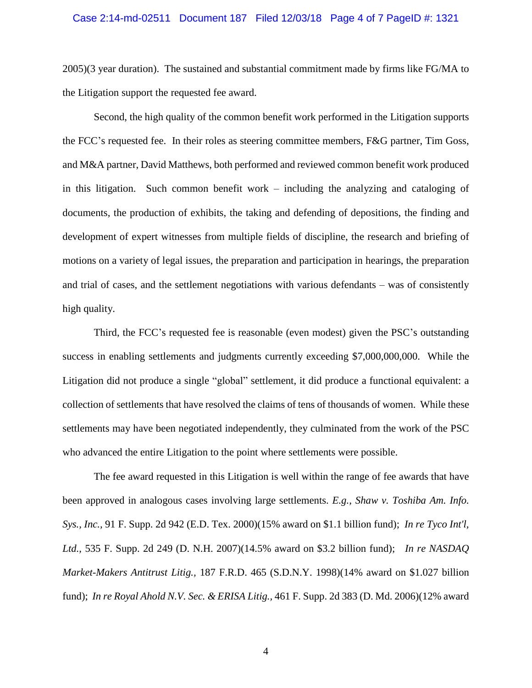#### Case 2:14-md-02511 Document 187 Filed 12/03/18 Page 4 of 7 PageID #: 1321

2005)(3 year duration). The sustained and substantial commitment made by firms like FG/MA to the Litigation support the requested fee award.

Second, the high quality of the common benefit work performed in the Litigation supports the FCC's requested fee. In their roles as steering committee members, F&G partner, Tim Goss, and M&A partner, David Matthews, both performed and reviewed common benefit work produced in this litigation. Such common benefit work – including the analyzing and cataloging of documents, the production of exhibits, the taking and defending of depositions, the finding and development of expert witnesses from multiple fields of discipline, the research and briefing of motions on a variety of legal issues, the preparation and participation in hearings, the preparation and trial of cases, and the settlement negotiations with various defendants – was of consistently high quality.

Third, the FCC's requested fee is reasonable (even modest) given the PSC's outstanding success in enabling settlements and judgments currently exceeding \$7,000,000,000. While the Litigation did not produce a single "global" settlement, it did produce a functional equivalent: a collection of settlements that have resolved the claims of tens of thousands of women. While these settlements may have been negotiated independently, they culminated from the work of the PSC who advanced the entire Litigation to the point where settlements were possible.

The fee award requested in this Litigation is well within the range of fee awards that have been approved in analogous cases involving large settlements. *E.g., Shaw v. Toshiba Am. Info. Sys., Inc.,* 91 F. Supp. 2d 942 (E.D. Tex. 2000)(15% award on \$1.1 billion fund); *In re Tyco Int'l, Ltd.,* 535 F. Supp. 2d 249 (D. N.H. 2007)(14.5% award on \$3.2 billion fund); *In re NASDAQ Market-Makers Antitrust Litig.,* 187 F.R.D. 465 (S.D.N.Y. 1998)(14% award on \$1.027 billion fund); *In re Royal Ahold N.V. Sec. & ERISA Litig.,* 461 F. Supp. 2d 383 (D. Md. 2006)(12% award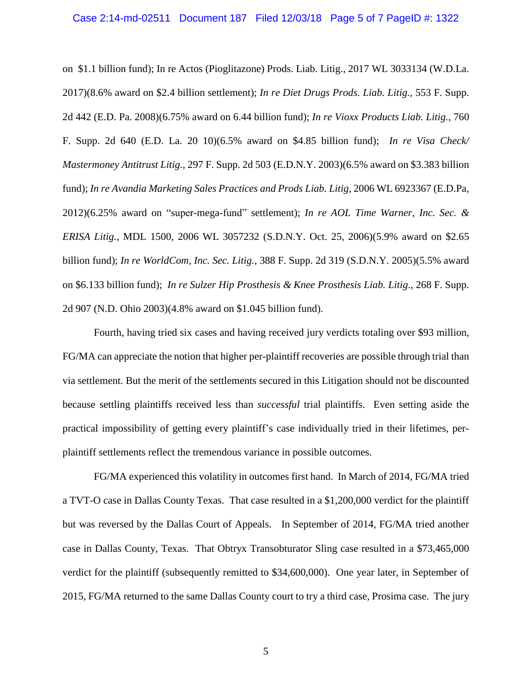#### Case 2:14-md-02511 Document 187 Filed 12/03/18 Page 5 of 7 PageID #: 1322

on \$1.1 billion fund); In re Actos (Pioglitazone) Prods. Liab. Litig., 2017 WL 3033134 (W.D.La. 2017)(8.6% award on \$2.4 billion settlement); *In re Diet Drugs Prods. Liab. Litig.,* 553 F. Supp. 2d 442 (E.D. Pa. 2008)(6.75% award on 6.44 billion fund); *In re Vioxx Products Liab. Litig.,* 760 F. Supp. 2d 640 (E.D. La. 20 10)(6.5% award on \$4.85 billion fund); *In re Visa Check/ Mastermoney Antitrust Litig.,* 297 F. Supp. 2d 503 (E.D.N.Y. 2003)(6.5% award on \$3.383 billion fund); *In re Avandia Marketing Sales Practices and Prods Liab. Litig,* 2006 WL 6923367 (E.D.Pa, 2012)(6.25% award on "super-mega-fund" settlement); *In re AOL Time Warner, Inc. Sec. & ERISA Litig.,* MDL 1500, 2006 WL 3057232 (S.D.N.Y. Oct. 25, 2006)(5.9% award on \$2.65 billion fund); *In re WorldCom, Inc. Sec. Litig.,* 388 F. Supp. 2d 319 (S.D.N.Y. 2005)(5.5% award on \$6.133 billion fund); *In re Sulzer Hip Prosthesis & Knee Prosthesis Liab. Litig*., 268 F. Supp. 2d 907 (N.D. Ohio 2003)(4.8% award on \$1.045 billion fund).

Fourth, having tried six cases and having received jury verdicts totaling over \$93 million, FG/MA can appreciate the notion that higher per-plaintiff recoveries are possible through trial than via settlement. But the merit of the settlements secured in this Litigation should not be discounted because settling plaintiffs received less than *successful* trial plaintiffs. Even setting aside the practical impossibility of getting every plaintiff's case individually tried in their lifetimes, perplaintiff settlements reflect the tremendous variance in possible outcomes.

FG/MA experienced this volatility in outcomes first hand. In March of 2014, FG/MA tried a TVT-O case in Dallas County Texas. That case resulted in a \$1,200,000 verdict for the plaintiff but was reversed by the Dallas Court of Appeals. In September of 2014, FG/MA tried another case in Dallas County, Texas. That Obtryx Transobturator Sling case resulted in a \$73,465,000 verdict for the plaintiff (subsequently remitted to \$34,600,000). One year later, in September of 2015, FG/MA returned to the same Dallas County court to try a third case, Prosima case. The jury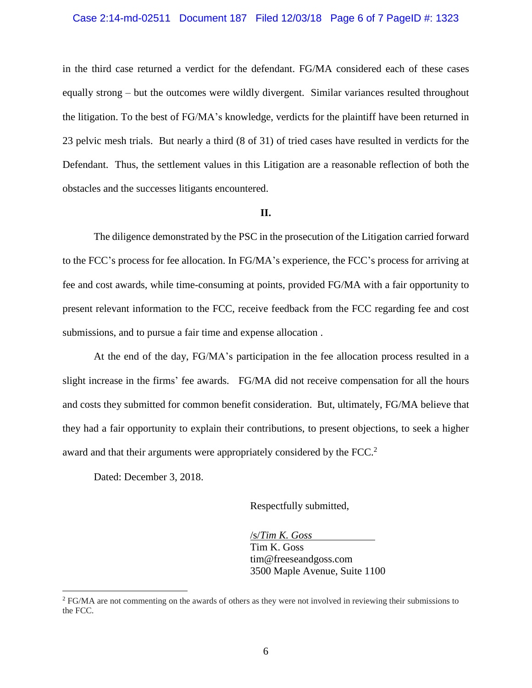#### Case 2:14-md-02511 Document 187 Filed 12/03/18 Page 6 of 7 PageID #: 1323

in the third case returned a verdict for the defendant. FG/MA considered each of these cases equally strong – but the outcomes were wildly divergent. Similar variances resulted throughout the litigation. To the best of FG/MA's knowledge, verdicts for the plaintiff have been returned in 23 pelvic mesh trials. But nearly a third (8 of 31) of tried cases have resulted in verdicts for the Defendant. Thus, the settlement values in this Litigation are a reasonable reflection of both the obstacles and the successes litigants encountered.

#### **II.**

The diligence demonstrated by the PSC in the prosecution of the Litigation carried forward to the FCC's process for fee allocation. In FG/MA's experience, the FCC's process for arriving at fee and cost awards, while time-consuming at points, provided FG/MA with a fair opportunity to present relevant information to the FCC, receive feedback from the FCC regarding fee and cost submissions, and to pursue a fair time and expense allocation .

At the end of the day, FG/MA's participation in the fee allocation process resulted in a slight increase in the firms' fee awards. FG/MA did not receive compensation for all the hours and costs they submitted for common benefit consideration. But, ultimately, FG/MA believe that they had a fair opportunity to explain their contributions, to present objections, to seek a higher award and that their arguments were appropriately considered by the FCC.<sup>2</sup>

Dated: December 3, 2018.

 $\overline{a}$ 

Respectfully submitted,

/s/*Tim K. Goss* Tim K. Goss tim@freeseandgoss.com 3500 Maple Avenue, Suite 1100

<sup>2</sup> FG/MA are not commenting on the awards of others as they were not involved in reviewing their submissions to the FCC.